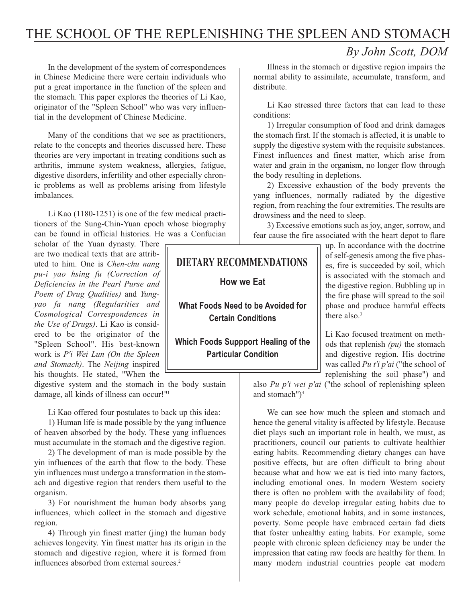# THE SCHOOL OF THE REPLENISHING THE SPLEEN AND STOMACH

# *By John Scott, DOM*

In the development of the system of correspondences in Chinese Medicine there were certain individuals who put a great importance in the function of the spleen and the stomach. This paper explores the theories of Li Kao, originator of the "Spleen School" who was very influential in the development of Chinese Medicine.

Many of the conditions that we see as practitioners, relate to the concepts and theories discussed here. These theories are very important in treating conditions such as arthritis, immune system weakness, allergies, fatigue, digestive disorders, infertility and other especially chronic problems as well as problems arising from lifestyle imbalances.

Li Kao (1180-1251) is one of the few medical practitioners of the Sung-Chin-Yuan epoch whose biography can be found in official histories. He was a Confucian

scholar of the Yuan dynasty. There are two medical texts that are attributed to him. One is *Chen-chu nang pu-i yao hsing fu (Correction of Deficiencies in the Pearl Purse and Poem of Drug Qualities)* and *Yungyao fa nang (Regularities and Cosmological Correspondences in the Use of Drugs)*. Li Kao is considered to be the originator of the "Spleen School". His best-known work is *P'i Wei Lun (On the Spleen and Stomach)*. The *Neijing* inspired his thoughts. He stated, "When the

digestive system and the stomach in the body sustain damage, all kinds of illness can occur!"1

Li Kao offered four postulates to back up this idea:

1) Human life is made possible by the yang influence of heaven absorbed by the body. These yang influences must accumulate in the stomach and the digestive region.

2) The development of man is made possible by the yin influences of the earth that flow to the body. These yin influences must undergo a transformation in the stomach and digestive region that renders them useful to the organism.

3) For nourishment the human body absorbs yang influences, which collect in the stomach and digestive region.

4) Through yin finest matter (jing) the human body achieves longevity. Yin finest matter has its origin in the stomach and digestive region, where it is formed from influences absorbed from external sources.<sup>2</sup>

# **How we Eat What Foods Need to be Avoided for Certain Conditions DIETARY RECOMMENDATIONS**

**Which Foods Suppport Healing of the Particular Condition**

Illness in the stomach or digestive region impairs the normal ability to assimilate, accumulate, transform, and distribute.

Li Kao stressed three factors that can lead to these conditions:

1) Irregular consumption of food and drink damages the stomach first. If the stomach is affected, it is unable to supply the digestive system with the requisite substances. Finest influences and finest matter, which arise from water and grain in the organism, no longer flow through the body resulting in depletions.

2) Excessive exhaustion of the body prevents the yang influences, normally radiated by the digestive region, from reaching the four extremities. The results are drowsiness and the need to sleep.

3) Excessive emotions such as joy, anger, sorrow, and fear cause the fire associated with the heart depot to flare

> up. In accordance with the doctrine of self-genesis among the five phases, fire is succeeded by soil, which is associated with the stomach and the digestive region. Bubbling up in the fire phase will spread to the soil phase and produce harmful effects there also.3

> Li Kao focused treatment on methods that replenish *(pu)* the stomach and digestive region. His doctrine was called *Pu t'i p'ai* ("the school of replenishing the soil phase") and

also *Pu p'i wei p'ai* ("the school of replenishing spleen and stomach")<sup>4</sup>

We can see how much the spleen and stomach and hence the general vitality is affected by lifestyle. Because diet plays such an important role in health, we must, as practitioners, council our patients to cultivate healthier eating habits. Recommending dietary changes can have positive effects, but are often difficult to bring about because what and how we eat is tied into many factors, including emotional ones. In modern Western society there is often no problem with the availability of food; many people do develop irregular eating habits due to work schedule, emotional habits, and in some instances, poverty. Some people have embraced certain fad diets that foster unhealthy eating habits. For example, some people with chronic spleen deficiency may be under the impression that eating raw foods are healthy for them. In many modern industrial countries people eat modern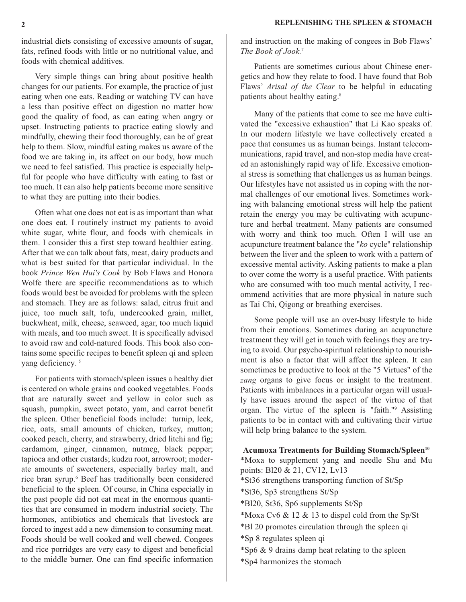industrial diets consisting of excessive amounts of sugar, fats, refined foods with little or no nutritional value, and foods with chemical additives.

Very simple things can bring about positive health changes for our patients. For example, the practice of just eating when one eats. Reading or watching TV can have a less than positive effect on digestion no matter how good the quality of food, as can eating when angry or upset. Instructing patients to practice eating slowly and mindfully, chewing their food thoroughly, can be of great help to them. Slow, mindful eating makes us aware of the food we are taking in, its affect on our body, how much we need to feel satisfied. This practice is especially helpful for people who have difficulty with eating to fast or too much. It can also help patients become more sensitive to what they are putting into their bodies.

Often what one does not eat is as important than what one does eat. I routinely instruct my patients to avoid white sugar, white flour, and foods with chemicals in them. I consider this a first step toward healthier eating. After that we can talk about fats, meat, dairy products and what is best suited for that particular individual. In the book *Prince Wen Hui's Cook* by Bob Flaws and Honora Wolfe there are specific recommendations as to which foods would best be avoided for problems with the spleen and stomach. They are as follows: salad, citrus fruit and juice, too much salt, tofu, undercooked grain, millet, buckwheat, milk, cheese, seaweed, agar, too much liquid with meals, and too much sweet. It is specifically advised to avoid raw and cold-natured foods. This book also contains some specific recipes to benefit spleen qi and spleen yang deficiency.<sup>5</sup>

For patients with stomach/spleen issues a healthy diet is centered on whole grains and cooked vegetables. Foods that are naturally sweet and yellow in color such as squash, pumpkin, sweet potato, yam, and carrot benefit the spleen. Other beneficial foods include: turnip, leek, rice, oats, small amounts of chicken, turkey, mutton; cooked peach, cherry, and strawberry, dried litchi and fig; cardamom, ginger, cinnamon, nutmeg, black pepper; tapioca and other custards; kudzu root, arrowroot; moderate amounts of sweeteners, especially barley malt, and rice bran syrup.<sup>6</sup> Beef has traditionally been considered beneficial to the spleen. Of course, in China especially in the past people did not eat meat in the enormous quantities that are consumed in modern industrial society. The hormones, antibiotics and chemicals that livestock are forced to ingest add a new dimension to consuming meat. Foods should be well cooked and well chewed. Congees and rice porridges are very easy to digest and beneficial to the middle burner. One can find specific information and instruction on the making of congees in Bob Flaws' *The Book of Jook.*<sup>7</sup>

Patients are sometimes curious about Chinese energetics and how they relate to food. I have found that Bob Flaws' *Arisal of the Clear* to be helpful in educating patients about healthy eating.<sup>8</sup>

Many of the patients that come to see me have cultivated the "excessive exhaustion" that Li Kao speaks of. In our modern lifestyle we have collectively created a pace that consumes us as human beings. Instant telecommunications, rapid travel, and non-stop media have created an astonishingly rapid way of life. Excessive emotional stress is something that challenges us as human beings. Our lifestyles have not assisted us in coping with the normal challenges of our emotional lives. Sometimes working with balancing emotional stress will help the patient retain the energy you may be cultivating with acupuncture and herbal treatment. Many patients are consumed with worry and think too much. Often I will use an acupuncture treatment balance the "*ko* cycle" relationship between the liver and the spleen to work with a pattern of excessive mental activity. Asking patients to make a plan to over come the worry is a useful practice. With patients who are consumed with too much mental activity, I recommend activities that are more physical in nature such as Tai Chi, Qigong or breathing exercises.

Some people will use an over-busy lifestyle to hide from their emotions. Sometimes during an acupuncture treatment they will get in touch with feelings they are trying to avoid. Our psycho-spiritual relationship to nourishment is also a factor that will affect the spleen. It can sometimes be productive to look at the "5 Virtues" of the *zang* organs to give focus or insight to the treatment. Patients with imbalances in a particular organ will usually have issues around the aspect of the virtue of that organ. The virtue of the spleen is "faith."9 Assisting patients to be in contact with and cultivating their virtue will help bring balance to the system.

**Acumoxa Treatments for Building Stomach/Spleen10** \*Moxa to supplement yang and needle Shu and Mu points: Bl20 & 21, CV12, Lv13 \*St36 strengthens transporting function of St/Sp \*St36, Sp3 strengthens St/Sp \*Bl20, St36, Sp6 supplements St/Sp \*Moxa Cv6 & 12 & 13 to dispel cold from the Sp/St \*Bl 20 promotes circulation through the spleen qi \*Sp 8 regulates spleen qi \*Sp6 & 9 drains damp heat relating to the spleen \*Sp4 harmonizes the stomach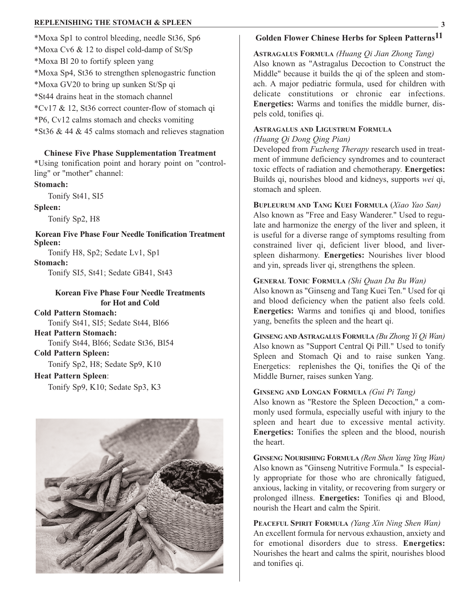#### **REPLENISHING THE STOMACH & SPLEEN 3**

\*Moxa Sp1 to control bleeding, needle St36, Sp6

\*Moxa Cv6 & 12 to dispel cold-damp of St/Sp \*Moxa Bl 20 to fortify spleen yang \*Moxa Sp4, St36 to strengthen splenogastric function \*Moxa GV20 to bring up sunken St/Sp qi \*St44 drains heat in the stomach channel

\*Cv17 & 12, St36 correct counter-flow of stomach qi

\*P6, Cv12 calms stomach and checks vomiting

\*St36 & 44 & 45 calms stomach and relieves stagnation

#### **Chinese Five Phase Supplementation Treatment**

\*Using tonification point and horary point on "controlling" or "mother" channel:

#### **Stomach:**

Tonify St41, SI5

#### **Spleen:**

Tonify Sp2, H8

**Korean Five Phase Four Needle Tonification Treatment Spleen:** 

Tonify H8, Sp2; Sedate Lv1, Sp1

#### **Stomach:**

Tonify SI5, St41; Sedate GB41, St43

#### **Korean Five Phase Four Needle Treatments for Hot and Cold**

**Cold Pattern Stomach:** 

Tonify St41, SI5; Sedate St44, Bl66

#### **Heat Pattern Stomach:**

Tonify St44, Bl66; Sedate St36, Bl54

## **Cold Pattern Spleen:**

Tonify Sp2, H8; Sedate Sp9, K10

#### **Heat Pattern Spleen**:

Tonify Sp9, K10; Sedate Sp3, K3



# **Golden Flower Chinese Herbs for Spleen Patterns11**

**ASTRAGALUS FORMULA** *(Huang Qi Jian Zhong Tang)*  Also known as "Astragalus Decoction to Construct the Middle" because it builds the qi of the spleen and stomach. A major pediatric formula, used for children with delicate constitutions or chronic ear infections. **Energetics:** Warms and tonifies the middle burner, dispels cold, tonifies qi.

# **ASTRAGALUS AND LIGUSTRUM FORMULA**

## *(Huang Qi Dong Qing Pian)*

Developed from *Fuzheng Therapy* research used in treatment of immune deficiency syndromes and to counteract toxic effects of radiation and chemotherapy. **Energetics:** Builds qi, nourishes blood and kidneys, supports *wei* qi, stomach and spleen.

## **BUPLEURUM AND TANG KUEI FORMULA** (*Xiao Yao San)*

Also known as "Free and Easy Wanderer." Used to regulate and harmonize the energy of the liver and spleen, it is useful for a diverse range of symptoms resulting from constrained liver qi, deficient liver blood, and liverspleen disharmony. **Energetics:** Nourishes liver blood and yin, spreads liver qi, strengthens the spleen.

## **GENERAL TONIC FORMULA** *(Shi Quan Da Bu Wan)*

Also known as "Ginseng and Tang Kuei Ten." Used for qi and blood deficiency when the patient also feels cold. **Energetics:** Warms and tonifies qi and blood, tonifies yang, benefits the spleen and the heart qi.

**GINSENG AND ASTRAGALUS FORMULA** *(Bu Zhong Yi Qi Wan)* Also known as "Support Central Qi Pill." Used to tonify Spleen and Stomach Qi and to raise sunken Yang. Energetics: replenishes the Qi, tonifies the Qi of the Middle Burner, raises sunken Yang.

#### **GINSENG AND LONGAN FORMULA** *(Gui Pi Tang)*

Also known as "Restore the Spleen Decoction," a commonly used formula, especially useful with injury to the spleen and heart due to excessive mental activity. **Energetics:** Tonifies the spleen and the blood, nourish the heart.

**GINSENG NOURISHING FORMULA** *(Ren Shen Yang Ying Wan)* Also known as "Ginseng Nutritive Formula." Is especially appropriate for those who are chronically fatigued, anxious, lacking in vitality, or recovering from surgery or prolonged illness. **Energetics:** Tonifies qi and Blood, nourish the Heart and calm the Spirit.

**PEACEFUL SPIRIT FORMULA** *(Yang Xin Ning Shen Wan)* An excellent formula for nervous exhaustion, anxiety and for emotional disorders due to stress. **Energetics:** Nourishes the heart and calms the spirit, nourishes blood and tonifies qi.